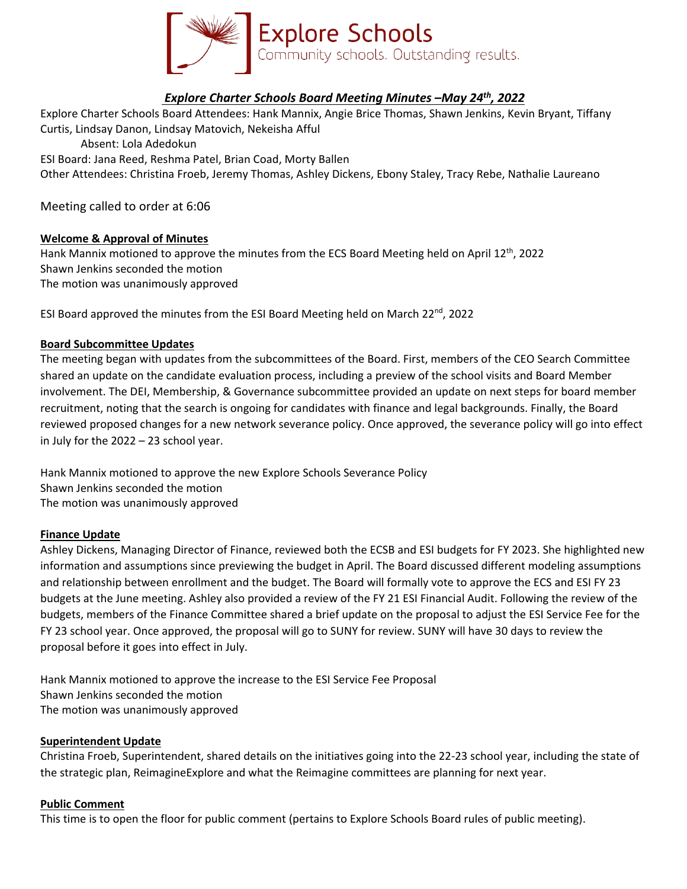

# *Explore Charter Schools Board Meeting Minutes –May 24th, 2022*

Explore Charter Schools Board Attendees: Hank Mannix, Angie Brice Thomas, Shawn Jenkins, Kevin Bryant, Tiffany Curtis, Lindsay Danon, Lindsay Matovich, Nekeisha Afful Absent: Lola Adedokun ESI Board: Jana Reed, Reshma Patel, Brian Coad, Morty Ballen Other Attendees: Christina Froeb, Jeremy Thomas, Ashley Dickens, Ebony Staley, Tracy Rebe, Nathalie Laureano

Meeting called to order at 6:06

## **Welcome & Approval of Minutes**

Hank Mannix motioned to approve the minutes from the ECS Board Meeting held on April  $12^{th}$ , 2022 Shawn Jenkins seconded the motion The motion was unanimously approved

ESI Board approved the minutes from the ESI Board Meeting held on March 22<sup>nd</sup>, 2022

## **Board Subcommittee Updates**

The meeting began with updates from the subcommittees of the Board. First, members of the CEO Search Committee shared an update on the candidate evaluation process, including a preview of the school visits and Board Member involvement. The DEI, Membership, & Governance subcommittee provided an update on next steps for board member recruitment, noting that the search is ongoing for candidates with finance and legal backgrounds. Finally, the Board reviewed proposed changes for a new network severance policy. Once approved, the severance policy will go into effect in July for the 2022 – 23 school year.

Hank Mannix motioned to approve the new Explore Schools Severance Policy Shawn Jenkins seconded the motion The motion was unanimously approved

#### **Finance Update**

Ashley Dickens, Managing Director of Finance, reviewed both the ECSB and ESI budgets for FY 2023. She highlighted new information and assumptions since previewing the budget in April. The Board discussed different modeling assumptions and relationship between enrollment and the budget. The Board will formally vote to approve the ECS and ESI FY 23 budgets at the June meeting. Ashley also provided a review of the FY 21 ESI Financial Audit. Following the review of the budgets, members of the Finance Committee shared a brief update on the proposal to adjust the ESI Service Fee for the FY 23 school year. Once approved, the proposal will go to SUNY for review. SUNY will have 30 days to review the proposal before it goes into effect in July.

Hank Mannix motioned to approve the increase to the ESI Service Fee Proposal Shawn Jenkins seconded the motion The motion was unanimously approved

## **Superintendent Update**

Christina Froeb, Superintendent, shared details on the initiatives going into the 22-23 school year, including the state of the strategic plan, ReimagineExplore and what the Reimagine committees are planning for next year.

#### **Public Comment**

This time is to open the floor for public comment (pertains to Explore Schools Board rules of public meeting).